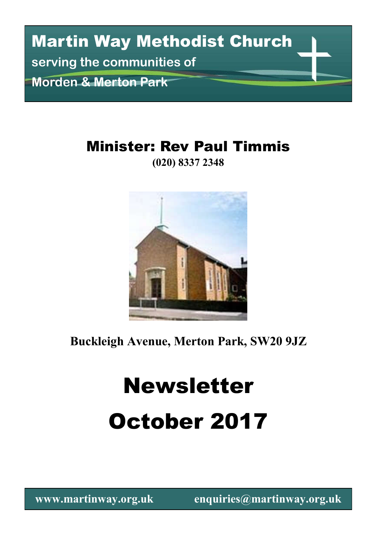# Martin Way Methodist Church **serving the communities of Morden & Merton Park**

### Minister: Rev Paul Timmis

**(020) 8337 2348**



**Buckleigh Avenue, Merton Park, SW20 9JZ**

# Newsletter October 2017

**www.martinway.org.uk enquiries@martinway.org.uk**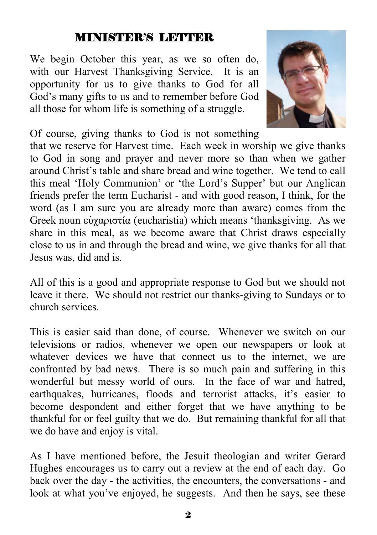#### MINISTER'S LETTER

We begin October this year, as we so often do, with our Harvest Thanksgiving Service. It is an opportunity for us to give thanks to God for all God's many gifts to us and to remember before God all those for whom life is something of a struggle.



Of course, giving thanks to God is not something

that we reserve for Harvest time. Each week in worship we give thanks to God in song and prayer and never more so than when we gather around Christ's table and share bread and wine together. We tend to call this meal 'Holy Communion' or 'the Lord's Supper' but our Anglican friends prefer the term Eucharist - and with good reason, I think, for the word (as I am sure you are already more than aware) comes from the Greek noun εὐχαριστία (eucharistia) which means 'thanksgiving. As we share in this meal, as we become aware that Christ draws especially close to us in and through the bread and wine, we give thanks for all that Jesus was, did and is.

All of this is a good and appropriate response to God but we should not leave it there. We should not restrict our thanks-giving to Sundays or to church services.

This is easier said than done, of course. Whenever we switch on our televisions or radios, whenever we open our newspapers or look at whatever devices we have that connect us to the internet, we are confronted by bad news. There is so much pain and suffering in this wonderful but messy world of ours. In the face of war and hatred, earthquakes, hurricanes, floods and terrorist attacks, it's easier to become despondent and either forget that we have anything to be thankful for or feel guilty that we do. But remaining thankful for all that we do have and enjoy is vital.

As I have mentioned before, the Jesuit theologian and writer Gerard Hughes encourages us to carry out a review at the end of each day. Go back over the day - the activities, the encounters, the conversations - and look at what you've enjoyed, he suggests. And then he says, see these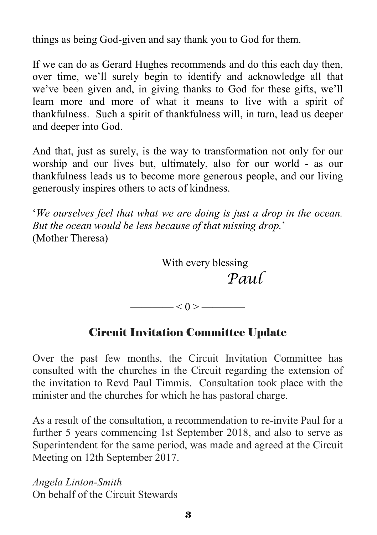things as being God-given and say thank you to God for them.

If we can do as Gerard Hughes recommends and do this each day then, over time, we'll surely begin to identify and acknowledge all that we've been given and, in giving thanks to God for these gifts, we'll learn more and more of what it means to live with a spirit of thankfulness. Such a spirit of thankfulness will, in turn, lead us deeper and deeper into God.

And that, just as surely, is the way to transformation not only for our worship and our lives but, ultimately, also for our world - as our thankfulness leads us to become more generous people, and our living generously inspires others to acts of kindness.

'*We ourselves feel that what we are doing is just a drop in the ocean. But the ocean would be less because of that missing drop.*' (Mother Theresa)

> With every blessing *Paul*

 $\leq 0$  >  $\leq$ 

#### Circuit Invitation Committee Update

Over the past few months, the Circuit Invitation Committee has consulted with the churches in the Circuit regarding the extension of the invitation to Revd Paul Timmis. Consultation took place with the minister and the churches for which he has pastoral charge.

As a result of the consultation, a recommendation to re-invite Paul for a further 5 years commencing 1st September 2018, and also to serve as Superintendent for the same period, was made and agreed at the Circuit Meeting on 12th September 2017.

*Angela Linton-Smith* On behalf of the Circuit Stewards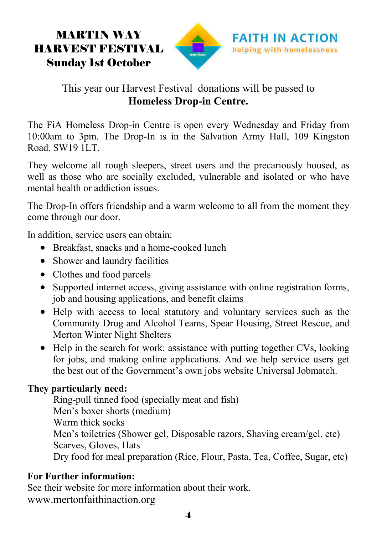### MARTIN WAY HARVEST FESTIVAL Sunday 1st October



#### This year our Harvest Festival donations will be passed to **Homeless Drop-in Centre.**

The FiA Homeless Drop-in Centre is open every Wednesday and Friday from 10:00am to 3pm. The Drop-In is in the Salvation Army Hall, 109 Kingston Road, SW19 1LT.

They welcome all rough sleepers, street users and the precariously housed, as well as those who are socially excluded, vulnerable and isolated or who have mental health or addiction issues.

The Drop-In offers friendship and a warm welcome to all from the moment they come through our door.

In addition, service users can obtain:

- Breakfast, snacks and a home-cooked lunch
- Shower and laundry facilities
- Clothes and food parcels
- Supported internet access, giving assistance with online registration forms, job and housing applications, and benefit claims
- Help with access to local statutory and voluntary services such as the Community Drug and Alcohol Teams, Spear Housing, Street Rescue, and Merton Winter Night Shelters
- Help in the search for work: assistance with putting together CVs, looking for jobs, and making online applications. And we help service users get the best out of the Government's own jobs website Universal Jobmatch.

#### **They particularly need:**

Ring-pull tinned food (specially meat and fish) Men's boxer shorts (medium) Warm thick socks Men's toiletries (Shower gel, Disposable razors, Shaving cream/gel, etc) Scarves, Gloves, Hats Dry food for meal preparation (Rice, Flour, Pasta, Tea, Coffee, Sugar, etc)

#### **For Further information:**

See their website for more information about their work. www.mertonfaithinaction.org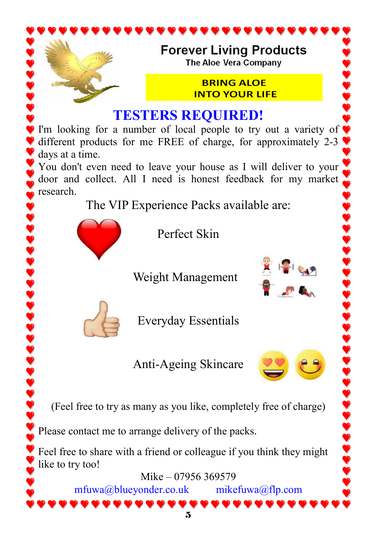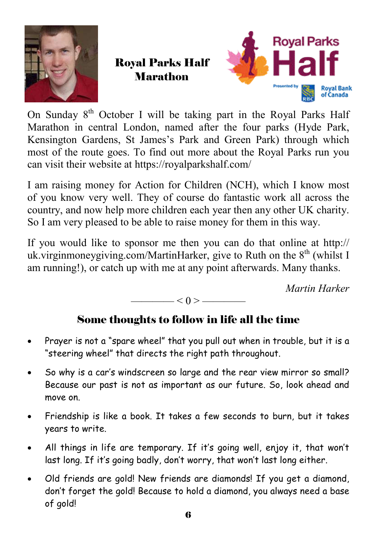

Royal Parks Half Marathon



On Sunday  $8<sup>th</sup>$  October I will be taking part in the Royal Parks Half Marathon in central London, named after the four parks (Hyde Park, Kensington Gardens, St James's Park and Green Park) through which most of the route goes. To find out more about the Royal Parks run you can visit their website at https://royalparkshalf.com/

I am raising money for Action for Children (NCH), which I know most of you know very well. They of course do fantastic work all across the country, and now help more children each year then any other UK charity. So I am very pleased to be able to raise money for them in this way.

If you would like to sponsor me then you can do that online at http:// uk.virginmoneygiving.com/MartinHarker, give to Ruth on the  $8<sup>th</sup>$  (whilst I am running!), or catch up with me at any point afterwards. Many thanks.

*Martin Harker*

#### —— $< 0 >$ ———

#### Some thoughts to follow in life all the time

- Prayer is not a "spare wheel" that you pull out when in trouble, but it is a "steering wheel" that directs the right path throughout.
- So why is a car's windscreen so large and the rear view mirror so small? Because our past is not as important as our future. So, look ahead and move on.
- Friendship is like a book. It takes a few seconds to burn, but it takes years to write.
- All things in life are temporary. If it's going well, enjoy it, that won't last long. If it's going badly, don't worry, that won't last long either.
- Old friends are gold! New friends are diamonds! If you get a diamond, don't forget the gold! Because to hold a diamond, you always need a base of gold!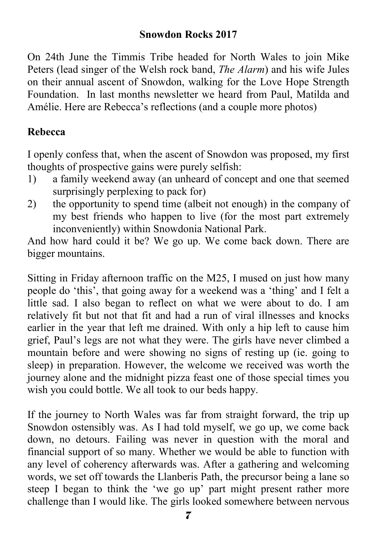#### **Snowdon Rocks 2017**

On 24th June the Timmis Tribe headed for North Wales to join Mike Peters (lead singer of the Welsh rock band, *The Alarm*) and his wife Jules on their annual ascent of Snowdon, walking for the Love Hope Strength Foundation. In last months newsletter we heard from Paul, Matilda and Amélie. Here are Rebecca's reflections (and a couple more photos)

#### **Rebecca**

I openly confess that, when the ascent of Snowdon was proposed, my first thoughts of prospective gains were purely selfish:

- 1) a family weekend away (an unheard of concept and one that seemed surprisingly perplexing to pack for)
- 2) the opportunity to spend time (albeit not enough) in the company of my best friends who happen to live (for the most part extremely inconveniently) within Snowdonia National Park.

And how hard could it be? We go up. We come back down. There are bigger mountains.

Sitting in Friday afternoon traffic on the M25, I mused on just how many people do 'this', that going away for a weekend was a 'thing' and I felt a little sad. I also began to reflect on what we were about to do. I am relatively fit but not that fit and had a run of viral illnesses and knocks earlier in the year that left me drained. With only a hip left to cause him grief, Paul's legs are not what they were. The girls have never climbed a mountain before and were showing no signs of resting up (ie. going to sleep) in preparation. However, the welcome we received was worth the journey alone and the midnight pizza feast one of those special times you wish you could bottle. We all took to our beds happy.

If the journey to North Wales was far from straight forward, the trip up Snowdon ostensibly was. As I had told myself, we go up, we come back down, no detours. Failing was never in question with the moral and financial support of so many. Whether we would be able to function with any level of coherency afterwards was. After a gathering and welcoming words, we set off towards the Llanberis Path, the precursor being a lane so steep I began to think the 'we go up' part might present rather more challenge than I would like. The girls looked somewhere between nervous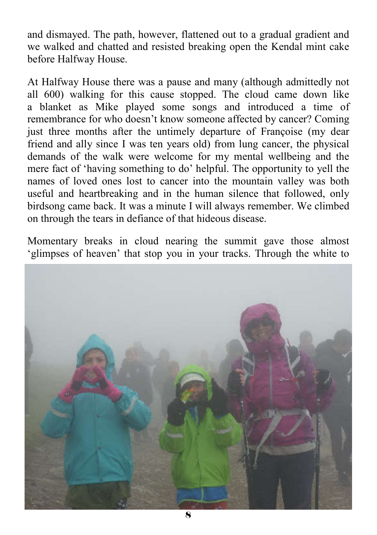and dismayed. The path, however, flattened out to a gradual gradient and we walked and chatted and resisted breaking open the Kendal mint cake before Halfway House.

At Halfway House there was a pause and many (although admittedly not all 600) walking for this cause stopped. The cloud came down like a blanket as Mike played some songs and introduced a time of remembrance for who doesn't know someone affected by cancer? Coming just three months after the untimely departure of Françoise (my dear friend and ally since I was ten years old) from lung cancer, the physical demands of the walk were welcome for my mental wellbeing and the mere fact of 'having something to do' helpful. The opportunity to yell the names of loved ones lost to cancer into the mountain valley was both useful and heartbreaking and in the human silence that followed, only birdsong came back. It was a minute I will always remember. We climbed on through the tears in defiance of that hideous disease.

Momentary breaks in cloud nearing the summit gave those almost 'glimpses of heaven' that stop you in your tracks. Through the white to

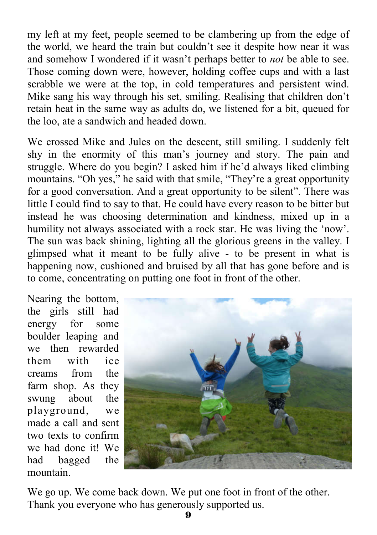my left at my feet, people seemed to be clambering up from the edge of the world, we heard the train but couldn't see it despite how near it was and somehow I wondered if it wasn't perhaps better to *not* be able to see. Those coming down were, however, holding coffee cups and with a last scrabble we were at the top, in cold temperatures and persistent wind. Mike sang his way through his set, smiling. Realising that children don't retain heat in the same way as adults do, we listened for a bit, queued for the loo, ate a sandwich and headed down.

We crossed Mike and Jules on the descent, still smiling. I suddenly felt shy in the enormity of this man's journey and story. The pain and struggle. Where do you begin? I asked him if he'd always liked climbing mountains. "Oh yes," he said with that smile, "They're a great opportunity for a good conversation. And a great opportunity to be silent". There was little I could find to say to that. He could have every reason to be bitter but instead he was choosing determination and kindness, mixed up in a humility not always associated with a rock star. He was living the 'now'. The sun was back shining, lighting all the glorious greens in the valley. I glimpsed what it meant to be fully alive - to be present in what is happening now, cushioned and bruised by all that has gone before and is to come, concentrating on putting one foot in front of the other.

Nearing the bottom, the girls still had energy for some boulder leaping and we then rewarded them with ice creams from the farm shop. As they swung about the playground, we made a call and sent two texts to confirm we had done it! We had bagged the mountain.



We go up. We come back down. We put one foot in front of the other. Thank you everyone who has generously supported us.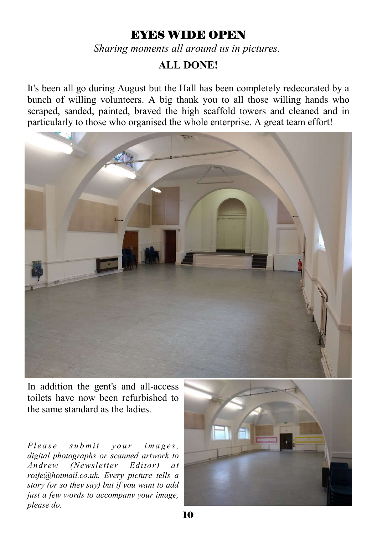#### EYES WIDE OPEN

*Sharing moments all around us in pictures.*

#### **ALL DONE!**

It's been all go during August but the Hall has been completely redecorated by a bunch of willing volunteers. A big thank you to all those willing hands who scraped, sanded, painted, braved the high scaffold towers and cleaned and in particularly to those who organised the whole enterprise. A great team effort!



In addition the gent's and all-access toilets have now been refurbished to the same standard as the ladies.

*Please submit your images*, *digital photographs or scanned artwork to Andrew (Newsletter Editor) at roife@hotmail.co.uk. Every picture tells a story (or so they say) but if you want to add just a few words to accompany your image, please do.*

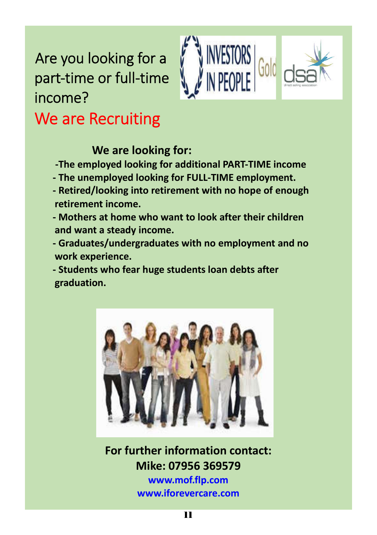# Are you looking for a part-time or full-time income? We are Recruiting



# **We are looking for:**

**-The employed looking for additional PART-TIME income**

- **The unemployed looking for FULL-TIME employment.**
- **Retired/looking into retirement with no hope of enough retirement income.**
- **Mothers at home who want to look after their children and want a steady income.**
- **Graduates/undergraduates with no employment and no work experience.**

**- Students who fear huge students loan debts after graduation.**



**For further information contact: Mike: 07956 369579**

> **www.mof.flp.com www.iforevercare.com**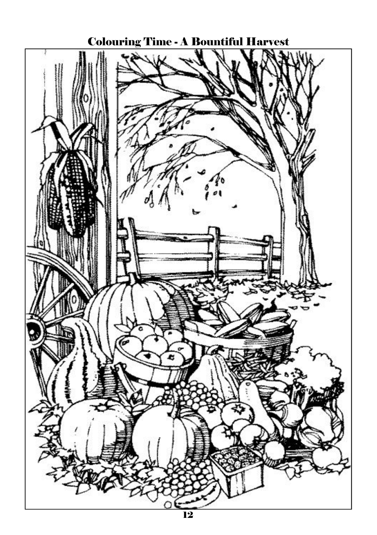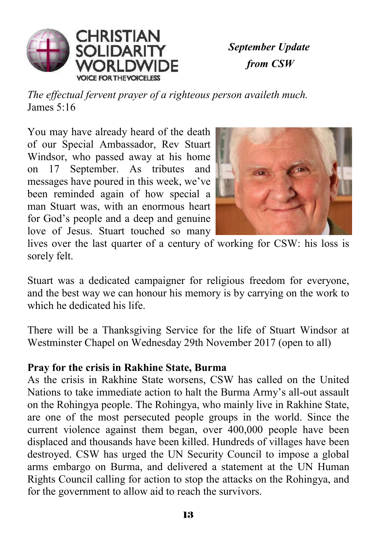

*September Update from CSW*

*The effectual fervent prayer of a righteous person availeth much.* James 5:16

You may have already heard of the death of our Special Ambassador, Rev Stuart Windsor, who passed away at his home on 17 September. As tributes and messages have poured in this week, we've been reminded again of how special a man Stuart was, with an enormous heart for God's people and a deep and genuine love of Jesus. Stuart touched so many



lives over the last quarter of a century of working for CSW: his loss is sorely felt.

Stuart was a dedicated campaigner for religious freedom for everyone, and the best way we can honour his memory is by carrying on the work to which he dedicated his life.

There will be a Thanksgiving Service for the life of Stuart Windsor at Westminster Chapel on Wednesday 29th November 2017 (open to all)

#### **Pray for the crisis in Rakhine State, Burma**

As the crisis in Rakhine State worsens, CSW has called on the United Nations to take immediate action to halt the Burma Army's all-out assault on the Rohingya people. The Rohingya, who mainly live in Rakhine State, are one of the most persecuted people groups in the world. Since the current violence against them began, over 400,000 people have been displaced and thousands have been killed. Hundreds of villages have been destroyed. CSW has urged the UN Security Council to impose a global arms embargo on Burma, and delivered a statement at the UN Human Rights Council calling for action to stop the attacks on the Rohingya, and for the government to allow aid to reach the survivors.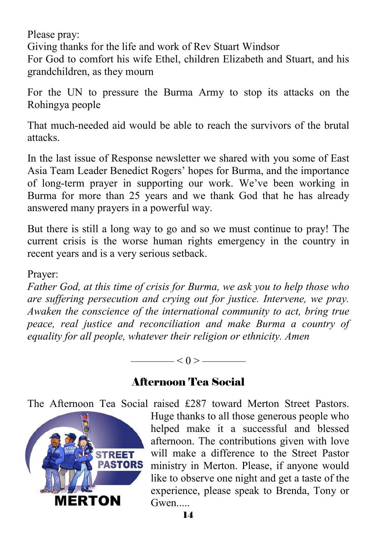Please pray:

Giving thanks for the life and work of Rev Stuart Windsor

For God to comfort his wife Ethel, children Elizabeth and Stuart, and his grandchildren, as they mourn

For the UN to pressure the Burma Army to stop its attacks on the Rohingya people

That much-needed aid would be able to reach the survivors of the brutal attacks.

In the last issue of Response newsletter we shared with you some of East Asia Team Leader Benedict Rogers' hopes for Burma, and the importance of long-term prayer in supporting our work. We've been working in Burma for more than 25 years and we thank God that he has already answered many prayers in a powerful way.

But there is still a long way to go and so we must continue to pray! The current crisis is the worse human rights emergency in the country in recent years and is a very serious setback.

#### Prayer:

*Father God, at this time of crisis for Burma, we ask you to help those who are suffering persecution and crying out for justice. Intervene, we pray. Awaken the conscience of the international community to act, bring true peace, real justice and reconciliation and make Burma a country of equality for all people, whatever their religion or ethnicity. Amen*

 $<$  0 > ————

#### Afternoon Tea Social

The Afternoon Tea Social raised £287 toward Merton Street Pastors.



Huge thanks to all those generous people who helped make it a successful and blessed afternoon. The contributions given with love will make a difference to the Street Pastor ministry in Merton. Please, if anyone would like to observe one night and get a taste of the experience, please speak to Brenda, Tony or Gwen....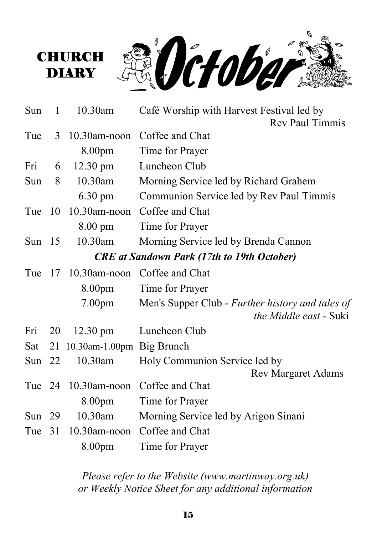

| Sun                                               | 1  | 10.30am                      | Café Worship with Harvest Festival led by                                         |  |
|---------------------------------------------------|----|------------------------------|-----------------------------------------------------------------------------------|--|
|                                                   |    |                              | <b>Rev Paul Timmis</b>                                                            |  |
| Tue                                               | 3  |                              | 10.30am-noon Coffee and Chat                                                      |  |
|                                                   |    | 8.00pm                       | Time for Prayer                                                                   |  |
| Fri                                               | 6  | $12.30 \text{ pm}$           | Luncheon Club                                                                     |  |
| Sun                                               | 8  | 10.30am                      | Morning Service led by Richard Grahem                                             |  |
|                                                   |    | 6.30 pm                      | Communion Service led by Rev Paul Timmis                                          |  |
| Tue                                               | 10 | $10.30$ am-noon              | Coffee and Chat                                                                   |  |
|                                                   |    | $8.00 \text{ pm}$            | Time for Prayer                                                                   |  |
| Sun $15$                                          |    | 10.30am                      | Morning Service led by Brenda Cannon                                              |  |
| <b>CRE</b> at Sandown Park (17th to 19th October) |    |                              |                                                                                   |  |
| Tue                                               | 17 | $10.30$ am-noon              | Coffee and Chat                                                                   |  |
|                                                   |    | 8.00pm                       | Time for Prayer                                                                   |  |
|                                                   |    | 7.00 <sub>pm</sub>           | Men's Supper Club - Further history and tales of<br><i>the Middle east</i> - Suki |  |
| Fri                                               | 20 | $12.30 \text{ pm}$           | Luncheon Club                                                                     |  |
| Sat                                               |    | 21 10.30am-1.00pm Big Brunch |                                                                                   |  |
| Sun $22$                                          |    | 10.30am                      | Holy Communion Service led by                                                     |  |
|                                                   |    |                              | <b>Rev Margaret Adams</b>                                                         |  |
| Tue 24                                            |    | $10.30$ am-noon              | Coffee and Chat                                                                   |  |
|                                                   |    | 8.00pm                       | Time for Prayer                                                                   |  |
| Sun $29$                                          |    | 10.30am                      | Morning Service led by Arigon Sinani                                              |  |
| Tue                                               | 31 | $10.30$ am-noon              | Coffee and Chat                                                                   |  |
|                                                   |    | 8.00pm                       | Time for Prayer                                                                   |  |

**CHURCH DIARY** 

> *Please refer to the Website (www.martinway.org.uk) or Weekly Notice Sheet for any additional information*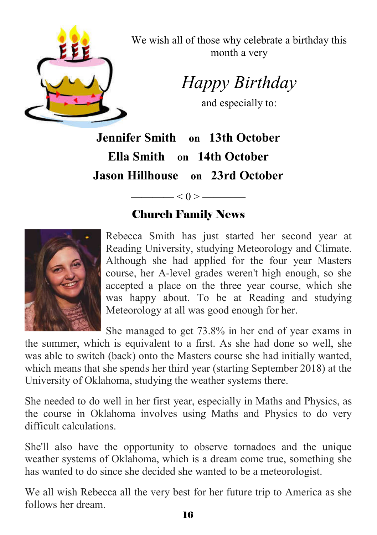

We wish all of those why celebrate a birthday this month a very

*Happy Birthday* 

and especially to:

**Jennifer Smith on 13th October Ella Smith on 14th October Jason Hillhouse on 23rd October**

### Church Family News

 $\leq 0$  >  $\qquad$ 



Rebecca Smith has just started her second year at Reading University, studying Meteorology and Climate. Although she had applied for the four year Masters course, her A-level grades weren't high enough, so she accepted a place on the three year course, which she was happy about. To be at Reading and studying Meteorology at all was good enough for her.

She managed to get 73.8% in her end of year exams in

the summer, which is equivalent to a first. As she had done so well, she was able to switch (back) onto the Masters course she had initially wanted, which means that she spends her third year (starting September 2018) at the University of Oklahoma, studying the weather systems there.

She needed to do well in her first year, especially in Maths and Physics, as the course in Oklahoma involves using Maths and Physics to do very difficult calculations.

She'll also have the opportunity to observe tornadoes and the unique weather systems of Oklahoma, which is a dream come true, something she has wanted to do since she decided she wanted to be a meteorologist.

We all wish Rebecca all the very best for her future trip to America as she follows her dream.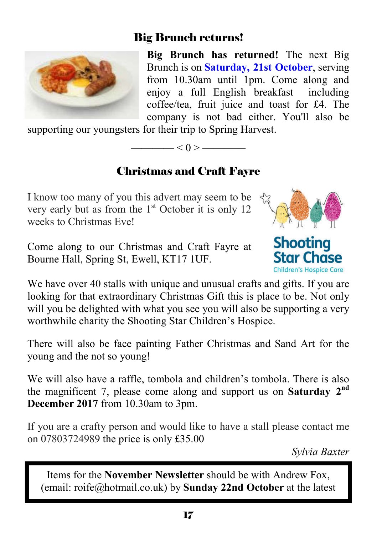#### Big Brunch returns!



**Big Brunch has returned!** The next Big Brunch is on **Saturday, 21st October**, serving from 10.30am until 1pm. Come along and enjoy a full English breakfast including coffee/tea, fruit juice and toast for £4. The company is not bad either. You'll also be

supporting our youngsters for their trip to Spring Harvest.

## $-< 0 > -$ Christmas and Craft Fayre

I know too many of you this advert may seem to be very early but as from the  $1<sup>st</sup>$  October it is only 12 weeks to Christmas Eve!

Come along to our Christmas and Craft Fayre at Bourne Hall, Spring St, Ewell, KT17 1UF.



**Shooting Star Chase** Children's Hospice Care

We have over 40 stalls with unique and unusual crafts and gifts. If you are looking for that extraordinary Christmas Gift this is place to be. Not only will you be delighted with what you see you will also be supporting a very worthwhile charity the Shooting Star Children's Hospice.

There will also be face painting Father Christmas and Sand Art for the young and the not so young!

We will also have a raffle, tombola and children's tombola. There is also the magnificent 7, please come along and support us on **Saturday 2nd December 2017** from 10.30am to 3pm.

If you are a crafty person and would like to have a stall please contact me on 07803724989 the price is only £35.00

*Sylvia Baxter*

Items for the **November Newsletter** should be with Andrew Fox, (email: roife@hotmail.co.uk) by **Sunday 22nd October** at the latest